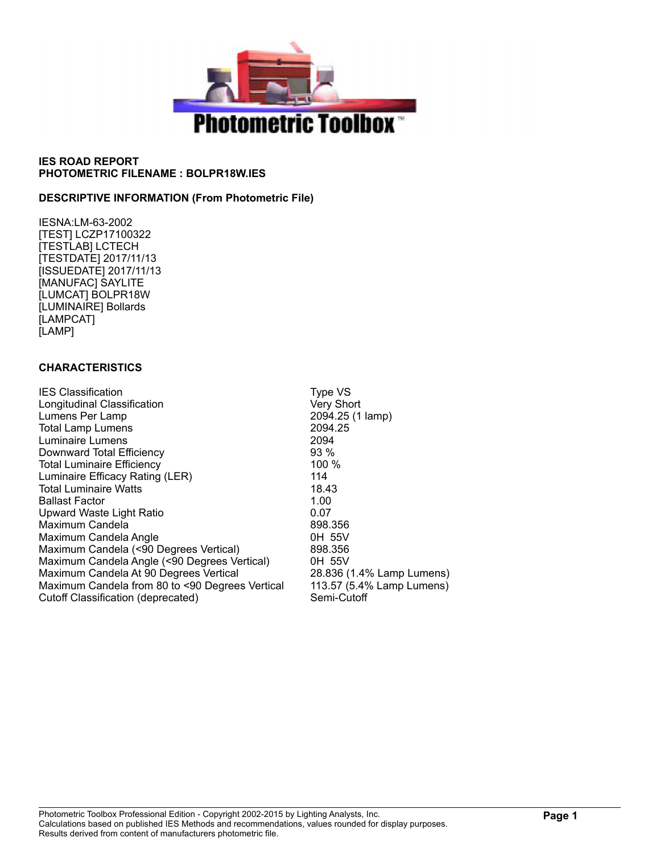

#### **DESCRIPTIVE INFORMATION (From Photometric File)**

IESNA:LM-63-2002 [TEST] LCZP17100322 [TESTLAB] LCTECH [TESTDATE] 2017/11/13 [ISSUEDATE] 2017/11/13 [MANUFAC] SAYLITE [LUMCAT] BOLPR18W [LUMINAIRE] Bollards [LAMPCAT] [LAMP]

#### **CHARACTERISTICS**

| <b>IES Classification</b>                       | Type VS                   |
|-------------------------------------------------|---------------------------|
| Longitudinal Classification                     | Very Short                |
| Lumens Per Lamp                                 | 2094.25 (1 lamp)          |
| <b>Total Lamp Lumens</b>                        | 2094.25                   |
| Luminaire Lumens                                | 2094                      |
| Downward Total Efficiency                       | $93\%$                    |
| <b>Total Luminaire Efficiency</b>               | 100%                      |
| Luminaire Efficacy Rating (LER)                 | 114                       |
| <b>Total Luminaire Watts</b>                    | 18.43                     |
| <b>Ballast Factor</b>                           | 1.00                      |
| Upward Waste Light Ratio                        | 0.07                      |
| Maximum Candela                                 | 898.356                   |
| Maximum Candela Angle                           | 0H 55V                    |
| Maximum Candela (<90 Degrees Vertical)          | 898.356                   |
| Maximum Candela Angle (<90 Degrees Vertical)    | 0H 55V                    |
| Maximum Candela At 90 Degrees Vertical          | 28.836 (1.4% Lamp Lumens) |
| Maximum Candela from 80 to <90 Degrees Vertical | 113.57 (5.4% Lamp Lumens) |
| Cutoff Classification (deprecated)              | Semi-Cutoff               |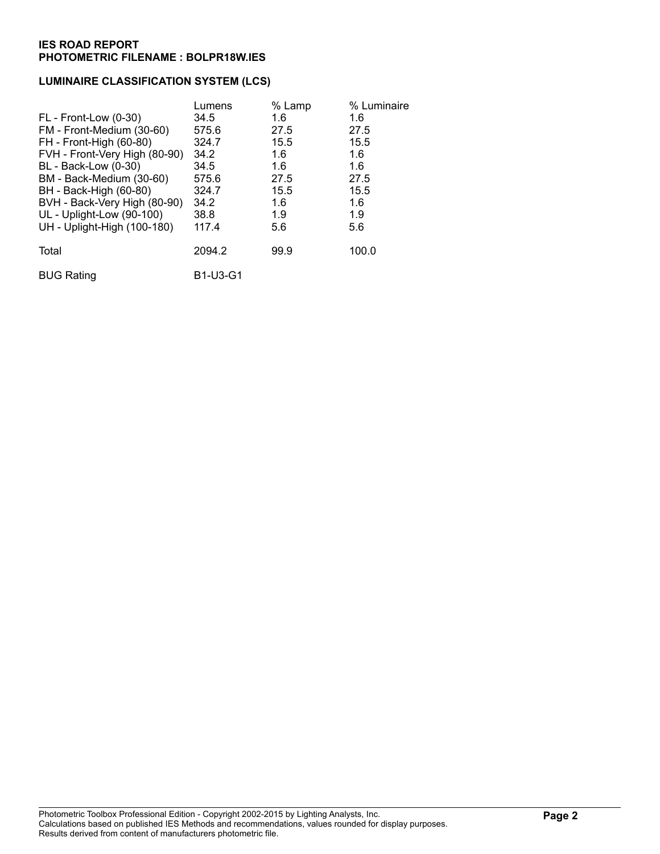### **LUMINAIRE CLASSIFICATION SYSTEM (LCS)**

|                               | Lumens          | % Lamp | % Luminaire |
|-------------------------------|-----------------|--------|-------------|
| FL - Front-Low (0-30)         | 34.5            | 1.6    | 1.6         |
| FM - Front-Medium (30-60)     | 575.6           | 27.5   | 27.5        |
| FH - Front-High (60-80)       | 324.7           | 15.5   | 15.5        |
| FVH - Front-Very High (80-90) | 34.2            | 1.6    | 1.6         |
| BL - Back-Low (0-30)          | 34.5            | 1.6    | 1.6         |
| BM - Back-Medium (30-60)      | 575.6           | 27.5   | 27.5        |
| BH - Back-High (60-80)        | 324.7           | 15.5   | 15.5        |
| BVH - Back-Very High (80-90)  | 34.2            | 1.6    | 1.6         |
| UL - Uplight-Low (90-100)     | 38.8            | 1.9    | 1.9         |
| UH - Uplight-High (100-180)   | 117.4           | 5.6    | 5.6         |
| Total                         | 2094.2          | 99.9   | 100.0       |
| <b>BUG Rating</b>             | <b>B1-U3-G1</b> |        |             |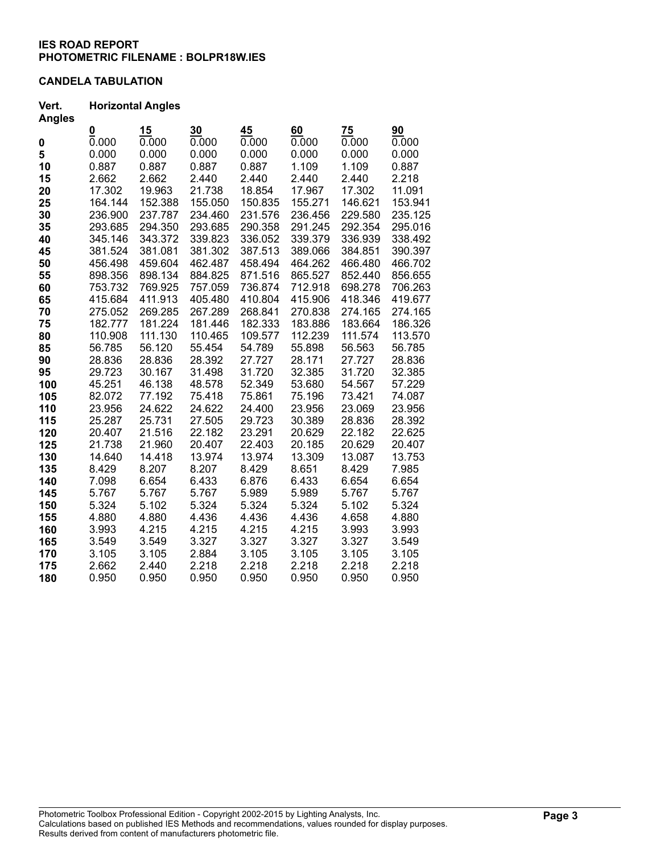### **CANDELA TABULATION**

#### **Vert. Horizontal Angles Angles**

| Angles |                   |         |         |         |         |         |         |
|--------|-------------------|---------|---------|---------|---------|---------|---------|
|        | $\frac{0}{0.000}$ | 15      | 30      | 45      | 60      | 75      | 90      |
| 0      |                   | 0.000   | 0.000   | 0.000   | 0.000   | 0.000   | 0.000   |
| 5      | 0.000             | 0.000   | 0.000   | 0.000   | 0.000   | 0.000   | 0.000   |
| 10     | 0.887             | 0.887   | 0.887   | 0.887   | 1.109   | 1.109   | 0.887   |
| 15     | 2.662             | 2.662   | 2.440   | 2.440   | 2.440   | 2.440   | 2.218   |
| 20     | 17.302            | 19.963  | 21.738  | 18.854  | 17.967  | 17.302  | 11.091  |
| 25     | 164.144           | 152.388 | 155.050 | 150.835 | 155.271 | 146.621 | 153.941 |
| 30     | 236.900           | 237.787 | 234.460 | 231.576 | 236.456 | 229.580 | 235.125 |
| 35     | 293.685           | 294.350 | 293.685 | 290.358 | 291.245 | 292.354 | 295.016 |
| 40     | 345.146           | 343.372 | 339.823 | 336.052 | 339.379 | 336.939 | 338.492 |
| 45     | 381.524           | 381.081 | 381.302 | 387.513 | 389.066 | 384.851 | 390.397 |
| 50     | 456.498           | 459.604 | 462.487 | 458.494 | 464.262 | 466.480 | 466.702 |
| 55     | 898.356           | 898.134 | 884.825 | 871.516 | 865.527 | 852.440 | 856.655 |
| 60     | 753.732           | 769.925 | 757.059 | 736.874 | 712.918 | 698.278 | 706.263 |
| 65     | 415.684           | 411.913 | 405.480 | 410.804 | 415.906 | 418.346 | 419.677 |
| 70     | 275.052           | 269.285 | 267.289 | 268.841 | 270.838 | 274.165 | 274.165 |
| 75     | 182.777           | 181.224 | 181.446 | 182.333 | 183.886 | 183.664 | 186.326 |
| 80     | 110.908           | 111.130 | 110.465 | 109.577 | 112.239 | 111.574 | 113.570 |
| 85     | 56.785            | 56.120  | 55.454  | 54.789  | 55.898  | 56.563  | 56.785  |
| 90     | 28.836            | 28.836  | 28.392  | 27.727  | 28.171  | 27.727  | 28.836  |
| 95     | 29.723            | 30.167  | 31.498  | 31.720  | 32.385  | 31.720  | 32.385  |
| 100    | 45.251            | 46.138  | 48.578  | 52.349  | 53.680  | 54.567  | 57.229  |
| 105    | 82.072            | 77.192  | 75.418  | 75.861  | 75.196  | 73.421  | 74.087  |
| 110    | 23.956            | 24.622  | 24.622  | 24.400  | 23.956  | 23.069  | 23.956  |
| 115    | 25.287            | 25.731  | 27.505  | 29.723  | 30.389  | 28.836  | 28.392  |
| 120    | 20.407            | 21.516  | 22.182  | 23.291  | 20.629  | 22.182  | 22.625  |
| 125    | 21.738            | 21.960  | 20.407  | 22.403  | 20.185  | 20.629  | 20.407  |
| 130    | 14.640            | 14.418  | 13.974  | 13.974  | 13.309  | 13.087  | 13.753  |
| 135    | 8.429             | 8.207   | 8.207   | 8.429   | 8.651   | 8.429   | 7.985   |
| 140    | 7.098             | 6.654   | 6.433   | 6.876   | 6.433   | 6.654   | 6.654   |
| 145    | 5.767             | 5.767   | 5.767   | 5.989   | 5.989   | 5.767   | 5.767   |
| 150    | 5.324             | 5.102   | 5.324   | 5.324   | 5.324   | 5.102   | 5.324   |
| 155    | 4.880             | 4.880   | 4.436   | 4.436   | 4.436   | 4.658   | 4.880   |
| 160    | 3.993             | 4.215   | 4.215   | 4.215   | 4.215   | 3.993   | 3.993   |
| 165    | 3.549             | 3.549   | 3.327   | 3.327   | 3.327   | 3.327   | 3.549   |
| 170    | 3.105             | 3.105   | 2.884   | 3.105   | 3.105   | 3.105   | 3.105   |
| 175    | 2.662             | 2.440   | 2.218   | 2.218   | 2.218   | 2.218   | 2.218   |
| 180    | 0.950             | 0.950   | 0.950   | 0.950   | 0.950   | 0.950   | 0.950   |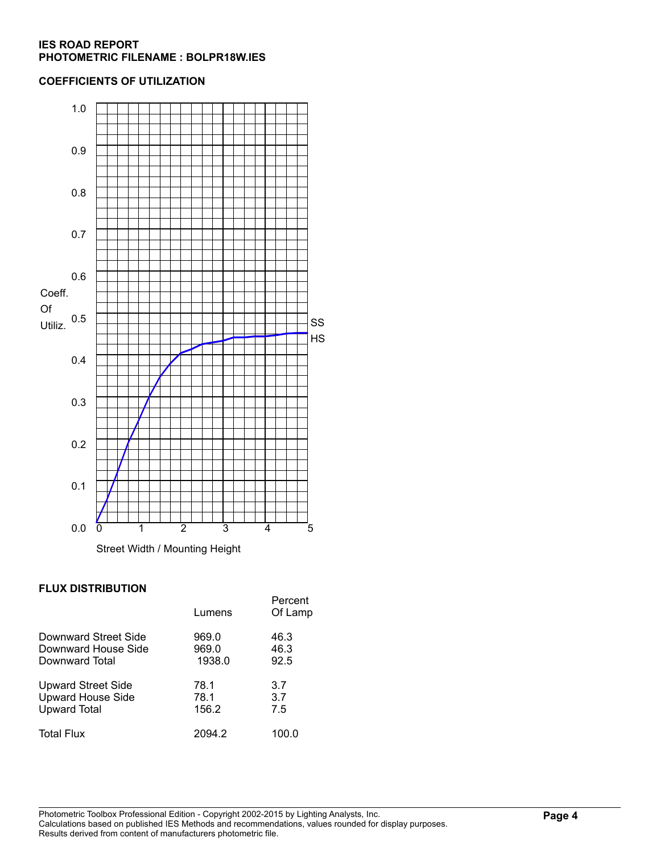#### **COEFFICIENTS OF UTILIZATION**



# **FLUX DISTRIBUTION**

|                           | Lumens | Percent<br>Of Lamp |
|---------------------------|--------|--------------------|
| Downward Street Side      | 969.0  | 46.3               |
| Downward House Side       | 969.0  | 46.3               |
| Downward Total            | 1938.0 | 92.5               |
| <b>Upward Street Side</b> | 78.1   | 3.7                |
| <b>Upward House Side</b>  | 78.1   | 3.7                |
| <b>Upward Total</b>       | 156.2  | 7.5                |
| <b>Total Flux</b>         | 2094.2 | 100.0              |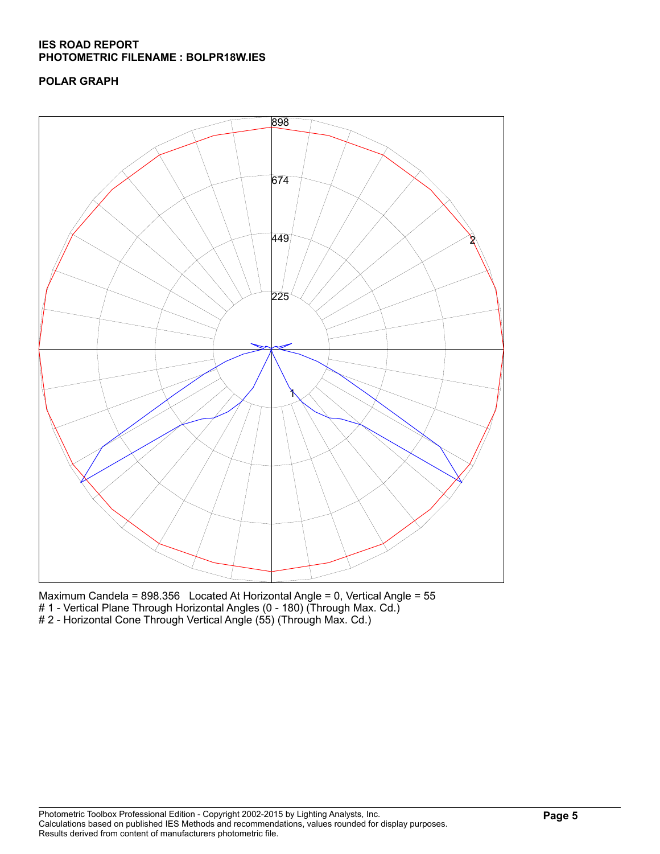# **POLAR GRAPH**



Maximum Candela = 898.356 Located At Horizontal Angle = 0, Vertical Angle = 55 # 1 - Vertical Plane Through Horizontal Angles (0 - 180) (Through Max. Cd.) # 2 - Horizontal Cone Through Vertical Angle (55) (Through Max. Cd.)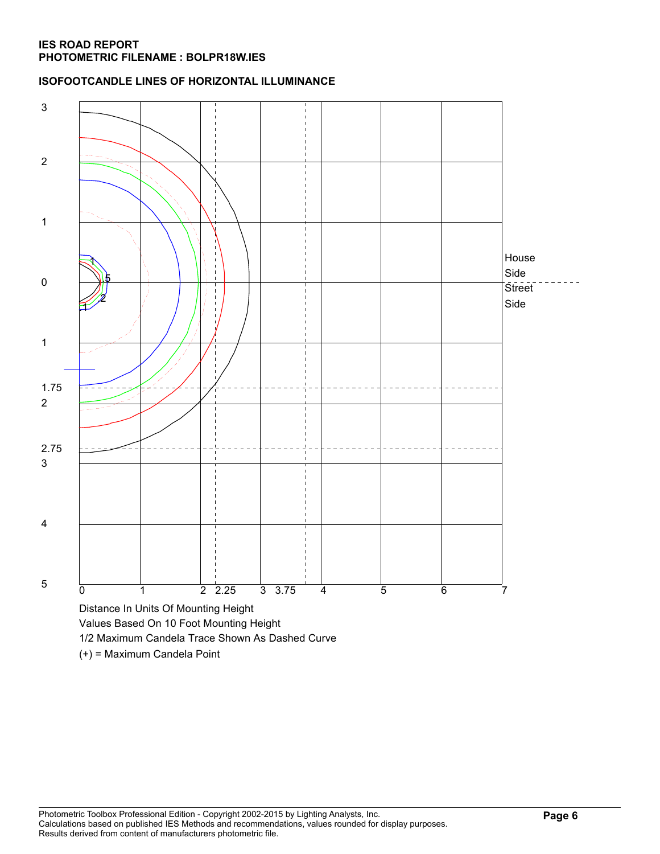### **ISOFOOTCANDLE LINES OF HORIZONTAL ILLUMINANCE**



(+) = Maximum Candela Point